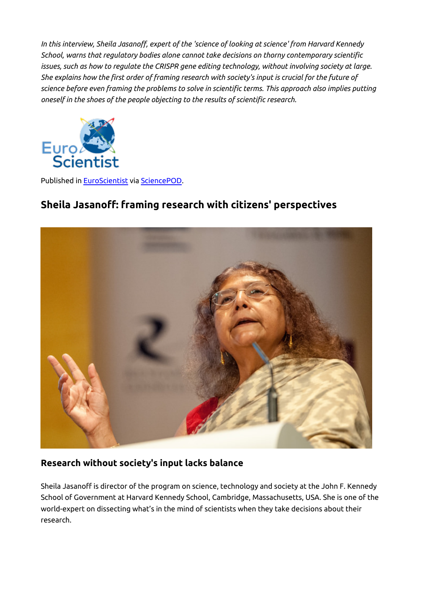*In this interview, Sheila Jasanoff, expert of the 'science of looking at science' from Harvard Kennedy School, warns that regulatory bodies alone cannot take decisions on thorny contemporary scientific issues, such as how to regulate the CRISPR gene editing technology, without involving society at large. She explains how the first order of framing research with society's input is crucial for the future of science before even framing the problems to solve in scientific terms. This approach also implies putting oneself in the shoes of the people objecting to the results of scientific research.*



Published in [EuroScientist](http://www.euroscientist.com/sheila-jasanoff-framing-research-with-citizens-perspectives) via [SciencePOD](http://www.sciencepod.net).

# **Sheila Jasanoff: framing research with citizens' perspectives**



#### **Research without society's input lacks balance**

Sheila Jasanoff is director of the program on science, technology and society at the John F. Kennedy School of Government at Harvard Kennedy School, Cambridge, Massachusetts, USA. She is one of the world-expert on dissecting what's in the mind of scientists when they take decisions about their research.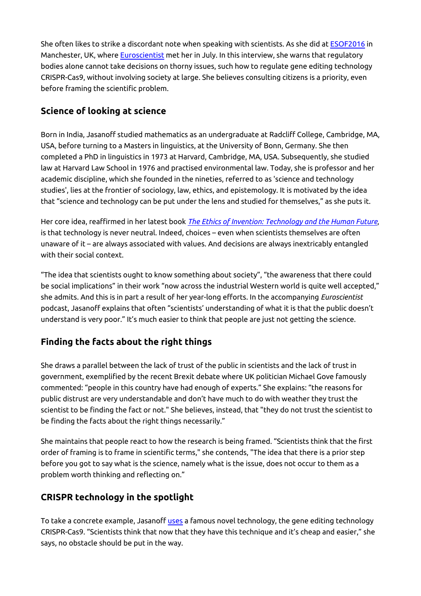She often likes to strike a discordant note when speaking with scientists. As she did at [ESOF2016](http://www.esof.eu/) in Manchester, UK, where Euroscientist met her in July. In this interview, she warns that regulatory bodies alone cannot take decisions on thorny issues, such how to regulate gene editing technology CRISPR-Cas9, without involving society at large. She believes consulting citizens is a priority, even before framing the scientific problem.

#### **Science of looking at science**

Born in India, Jasanoff studied mathematics as an undergraduate at Radcliff College, Cambridge, MA, USA, before turning to a Masters in linguistics, at the University of Bonn, Germany. She then completed a PhD in linguistics in 1973 at Harvard, Cambridge, MA, USA. Subsequently, she studied law at Harvard Law School in 1976 and practised environmental law. Today, she is professor and her academic discipline, which she founded in the nineties, referred to as 'science and technology studies', lies at the frontier of sociology, law, ethics, and epistemology. It is motivated by the idea that "science and technology can be put under the lens and studied for themselves," as she puts it.

Her core idea, reaffirmed in her latest book *[The Ethics of Invention: Technology and the Human Future](http://www.nature.com/nature/journal/v536/n7616/full/536271a.html)*, is that technology is never neutral. Indeed, choices – even when scientists themselves are often unaware of it – are always associated with values. And decisions are always inextricably entangled with their social context.

"The idea that scientists ought to know something about society", "the awareness that there could be social implications" in their work "now across the industrial Western world is quite well accepted," she admits. And this is in part a result of her year-long efforts. In the accompanying *Euroscientist* podcast, Jasanoff explains that often "scientists' understanding of what it is that the public doesn't understand is very poor." It's much easier to think that people are just not getting the science.

## **Finding the facts about the right things**

She draws a parallel between the lack of trust of the public in scientists and the lack of trust in government, exemplified by the recent Brexit debate where UK politician Michael Gove famously commented: "people in this country have had enough of experts." She explains: "the reasons for public distrust are very understandable and don't have much to do with weather they trust the scientist to be finding the fact or not." She believes, instead, that "they do not trust the scientist to be finding the facts about the right things necessarily."

She maintains that people react to how the research is being framed. "Scientists think that the first order of framing is to frame in scientific terms," she contends, "The idea that there is a prior step before you got to say what is the science, namely what is the issue, does not occur to them as a problem worth thinking and reflecting on."

## **CRISPR technology in the spotlight**

To take a concrete example, Jasanoff [uses](http://issues.org/32-1/crispr-democracy-gene-editing-and-the-need-for-inclusive-deliberation/) a famous novel technology, the gene editing technology CRISPR-Cas9. "Scientists think that now that they have this technique and it's cheap and easier," she says, no obstacle should be put in the way.